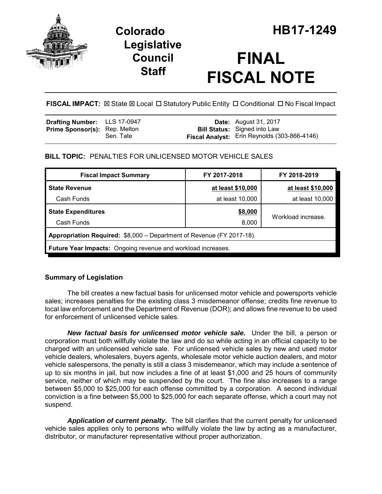

# **Legislative Council Staff**

# **FINAL FISCAL NOTE**

FISCAL IMPACT:  $\boxtimes$  State  $\boxtimes$  Local  $\Box$  Statutory Public Entity  $\Box$  Conditional  $\Box$  No Fiscal Impact

| Drafting Number: LLS 17-0947         |           | <b>Date:</b> August 31, 2017                 |
|--------------------------------------|-----------|----------------------------------------------|
| <b>Prime Sponsor(s): Rep. Melton</b> |           | <b>Bill Status:</b> Signed into Law          |
|                                      | Sen. Tate | Fiscal Analyst: Erin Reynolds (303-866-4146) |

# **BILL TOPIC:** PENALTIES FOR UNLICENSED MOTOR VEHICLE SALES

| <b>Fiscal Impact Summary</b>                                          | FY 2017-2018      | FY 2018-2019       |  |  |  |
|-----------------------------------------------------------------------|-------------------|--------------------|--|--|--|
| <b>State Revenue</b>                                                  | at least \$10,000 | at least \$10,000  |  |  |  |
| Cash Funds                                                            | at least 10,000   | at least 10,000    |  |  |  |
| <b>State Expenditures</b>                                             | \$8,000           | Workload increase. |  |  |  |
| Cash Funds                                                            | 8,000             |                    |  |  |  |
| Appropriation Required: \$8,000 - Department of Revenue (FY 2017-18). |                   |                    |  |  |  |
| Future Year Impacts: Ongoing revenue and workload increases.          |                   |                    |  |  |  |

# **Summary of Legislation**

The bill creates a new factual basis for unlicensed motor vehicle and powersports vehicle sales; increases penalties for the existing class 3 misdemeanor offense; credits fine revenue to local law enforcement and the Department of Revenue (DOR); and allows fine revenue to be used for enforcement of unlicensed vehicle sales.

*New factual basis for unlicensed motor vehicle sale.* Under the bill, a person or corporation must both willfully violate the law and do so while acting in an official capacity to be charged with an unlicensed vehicle sale. For unlicensed vehicle sales by new and used motor vehicle dealers, wholesalers, buyers agents, wholesale motor vehicle auction dealers, and motor vehicle salespersons, the penalty is still a class 3 misdemeanor, which may include a sentence of up to six months in jail, but now includes a fine of at least \$1,000 and 25 hours of community service, neither of which may be suspended by the court. The fine also increases to a range between \$5,000 to \$25,000 for each offense committed by a corporation. A second individual conviction is a fine between \$5,000 to \$25,000 for each separate offense, which a court may not suspend.

*Application of current penalty.* The bill clarifies that the current penalty for unlicensed vehicle sales applies only to persons who willfully violate the law by acting as a manufacturer, distributor, or manufacturer representative without proper authorization.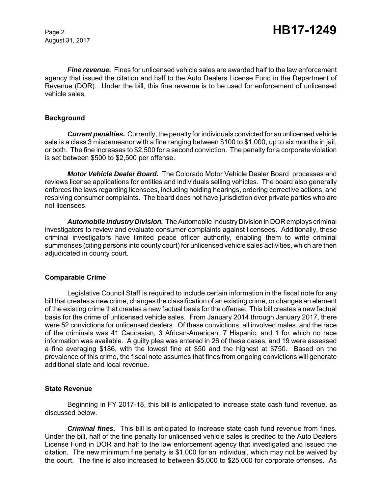August 31, 2017

*Fine revenue.* Fines for unlicensed vehicle sales are awarded half to the law enforcement agency that issued the citation and half to the Auto Dealers License Fund in the Department of Revenue (DOR). Under the bill, this fine revenue is to be used for enforcement of unlicensed vehicle sales.

# **Background**

*Current penalties.* Currently, the penalty for individuals convicted for an unlicensed vehicle sale is a class 3 misdemeanor with a fine ranging between \$100 to \$1,000, up to six months in jail, or both. The fine increases to \$2,500 for a second conviction. The penalty for a corporate violation is set between \$500 to \$2,500 per offense.

*Motor Vehicle Dealer Board.* The Colorado Motor Vehicle Dealer Board processes and reviews license applications for entities and individuals selling vehicles. The board also generally enforces the laws regarding licensees, including holding hearings, ordering corrective actions, and resolving consumer complaints. The board does not have jurisdiction over private parties who are not licensees.

*Automobile Industry Division.* The Automobile Industry Division in DOR employs criminal investigators to review and evaluate consumer complaints against licensees. Additionally, these criminal investigators have limited peace officer authority, enabling them to write criminal summonses (citing persons into county court) for unlicensed vehicle sales activities, which are then adjudicated in county court.

# **Comparable Crime**

Legislative Council Staff is required to include certain information in the fiscal note for any bill that creates a new crime, changes the classification of an existing crime, or changes an element of the existing crime that creates a new factual basis for the offense. This bill creates a new factual basis for the crime of unlicensed vehicle sales. From January 2014 through January 2017, there were 52 convictions for unlicensed dealers. Of these convictions, all involved males, and the race of the criminals was 41 Caucasian, 3 African-American, 7 Hispanic, and 1 for which no race information was available. A guilty plea was entered in 26 of these cases, and 19 were assessed a fine averaging \$186, with the lowest fine at \$50 and the highest at \$750. Based on the prevalence of this crime, the fiscal note assumes that fines from ongoing convictions will generate additional state and local revenue.

# **State Revenue**

Beginning in FY 2017-18, this bill is anticipated to increase state cash fund revenue, as discussed below.

*Criminal fines.* This bill is anticipated to increase state cash fund revenue from fines. Under the bill, half of the fine penalty for unlicensed vehicle sales is credited to the Auto Dealers License Fund in DOR and half to the law enforcement agency that investigated and issued the citation. The new minimum fine penalty is \$1,000 for an individual, which may not be waived by the court. The fine is also increased to between \$5,000 to \$25,000 for corporate offenses. As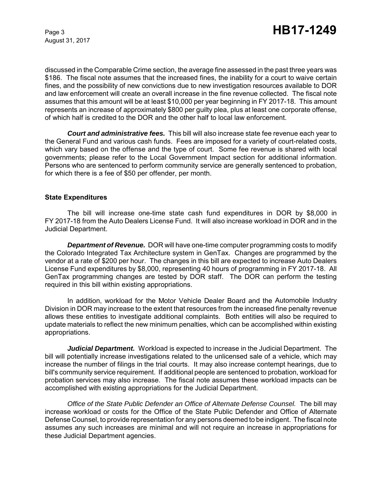August 31, 2017

discussed in the Comparable Crime section, the average fine assessed in the past three years was \$186. The fiscal note assumes that the increased fines, the inability for a court to waive certain fines, and the possibility of new convictions due to new investigation resources available to DOR and law enforcement will create an overall increase in the fine revenue collected. The fiscal note assumes that this amount will be at least \$10,000 per year beginning in FY 2017-18. This amount represents an increase of approximately \$800 per guilty plea, plus at least one corporate offense, of which half is credited to the DOR and the other half to local law enforcement.

*Court and administrative fees.* This bill will also increase state fee revenue each year to the General Fund and various cash funds. Fees are imposed for a variety of court-related costs, which vary based on the offense and the type of court. Some fee revenue is shared with local governments; please refer to the Local Government Impact section for additional information. Persons who are sentenced to perform community service are generally sentenced to probation, for which there is a fee of \$50 per offender, per month.

# **State Expenditures**

The bill will increase one-time state cash fund expenditures in DOR by \$8,000 in FY 2017-18 from the Auto Dealers License Fund. It will also increase workload in DOR and in the Judicial Department.

*Department of Revenue.* DOR will have one-time computer programming costs to modify the Colorado Integrated Tax Architecture system in GenTax. Changes are programmed by the vendor at a rate of \$200 per hour. The changes in this bill are expected to increase Auto Dealers License Fund expenditures by \$8,000, representing 40 hours of programming in FY 2017-18. All GenTax programming changes are tested by DOR staff. The DOR can perform the testing required in this bill within existing appropriations.

In addition, workload for the Motor Vehicle Dealer Board and the Automobile Industry Division in DOR may increase to the extent that resources from the increased fine penalty revenue allows these entities to investigate additional complaints. Both entities will also be required to update materials to reflect the new minimum penalties, which can be accomplished within existing appropriations.

*Judicial Department.* Workload is expected to increase in the Judicial Department. The bill will potentially increase investigations related to the unlicensed sale of a vehicle, which may increase the number of filings in the trial courts. It may also increase contempt hearings, due to bill's community service requirement. If additional people are sentenced to probation, workload for probation services may also increase. The fiscal note assumes these workload impacts can be accomplished with existing appropriations for the Judicial Department.

*Office of the State Public Defender an Office of Alternate Defense Counsel.* The bill may increase workload or costs for the Office of the State Public Defender and Office of Alternate Defense Counsel, to provide representation for any persons deemed to be indigent. The fiscal note assumes any such increases are minimal and will not require an increase in appropriations for these Judicial Department agencies.